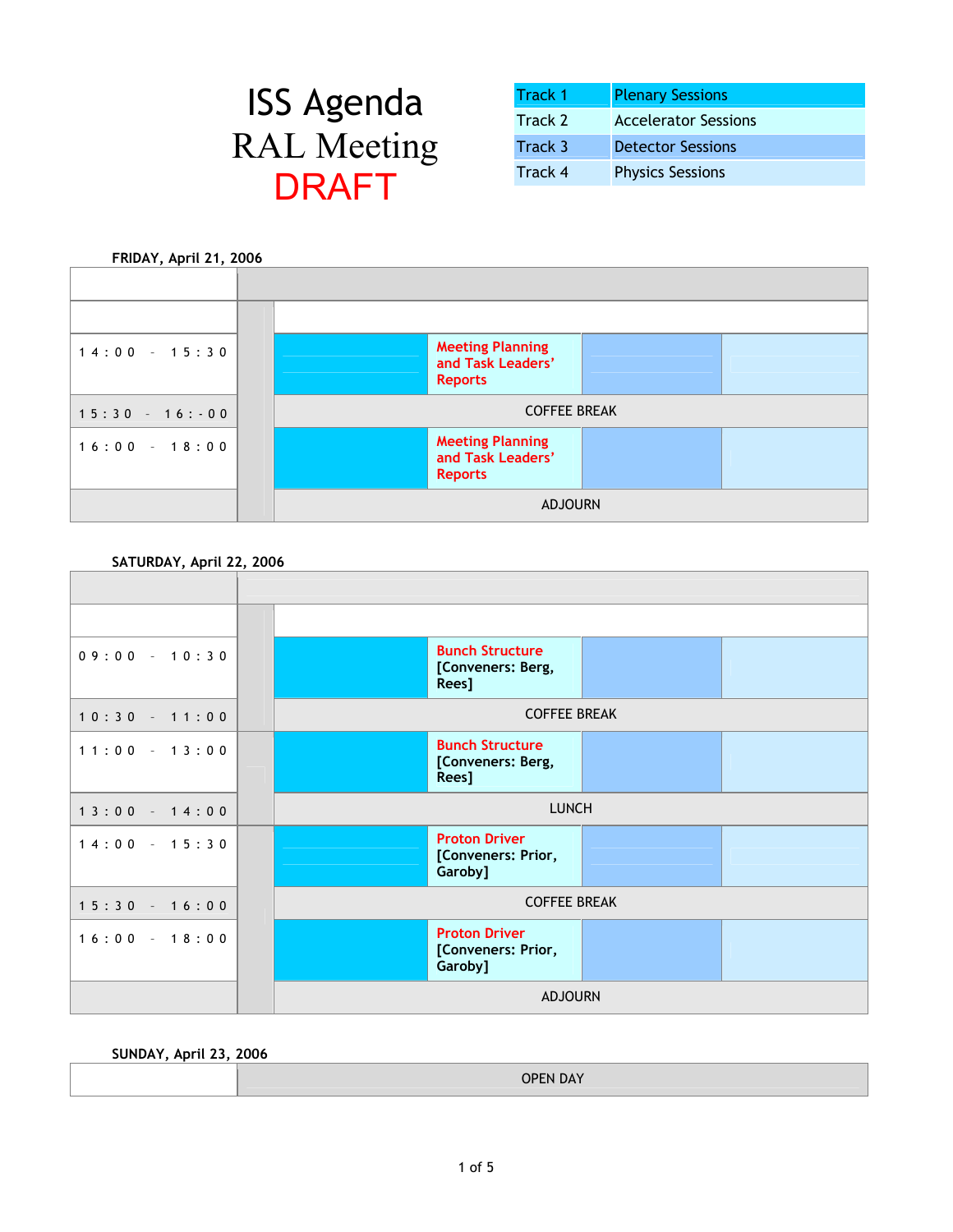| <b>ISS Agenda</b>  |
|--------------------|
| <b>RAL Meeting</b> |
| DRAFT              |

| <b>ISS Agenda</b> | <b>Track 1</b> | <b>Plenary Sessions</b>     |
|-------------------|----------------|-----------------------------|
|                   | Track 2        | <b>Accelerator Sessions</b> |
| <b>AL</b> Meeting | Track 3        | <b>Detector Sessions</b>    |
| <b>NDAET</b>      | Track 4        | <b>Physics Sessions</b>     |



**SATURDAY, April 22, 2006** 



**SUNDAY, April 23, 2006** 

| <b>OPEN DAY</b> |  |
|-----------------|--|
|-----------------|--|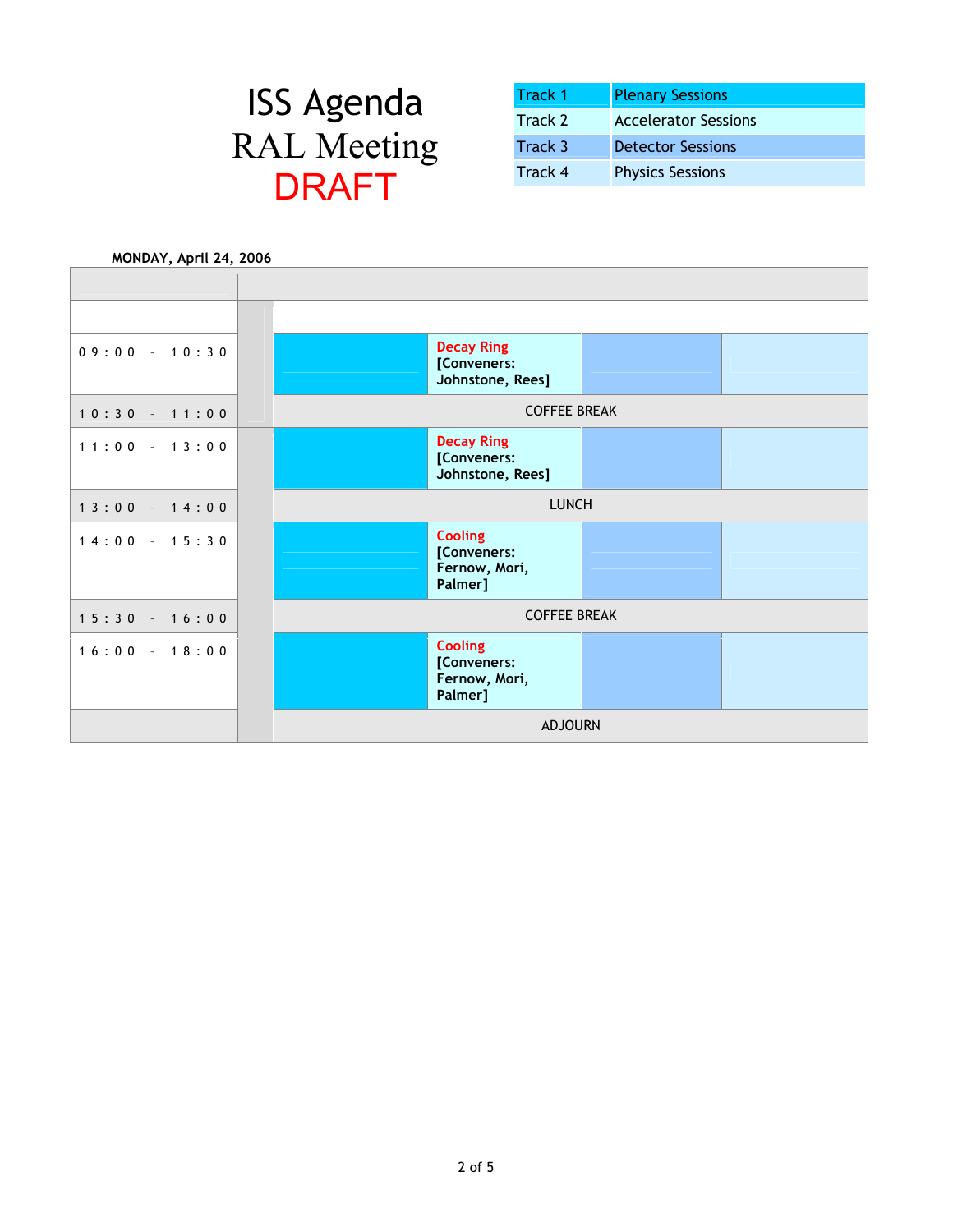| <b>Track 1</b> | <b>Plenary Sessions</b>     |
|----------------|-----------------------------|
| Track 2        | <b>Accelerator Sessions</b> |
| Track 3        | <b>Detector Sessions</b>    |
| Track 4        | <b>Physics Sessions</b>     |

| MONDAY, April 24, 2006 |                                                      |  |
|------------------------|------------------------------------------------------|--|
|                        |                                                      |  |
|                        |                                                      |  |
|                        |                                                      |  |
| $09:00 - 10:30$        | <b>Decay Ring</b><br>[Conveners:<br>Johnstone, Rees] |  |
|                        |                                                      |  |
| $10:30 - 11:00$        | <b>COFFEE BREAK</b>                                  |  |
| $11:00 - 13:00$        | <b>Decay Ring</b>                                    |  |
|                        | [Conveners:                                          |  |
|                        | Johnstone, Rees]                                     |  |
| $13:00 - 14:00$        | <b>LUNCH</b>                                         |  |
| $14:00 - 15:30$        | <b>Cooling</b><br>[Conveners:<br>Fernow, Mori,       |  |
|                        | Palmer]                                              |  |
| $15:30 - 16:00$        | <b>COFFEE BREAK</b>                                  |  |
| $16:00 - 18:00$        | <b>Cooling</b><br>[Conveners:                        |  |
|                        | Fernow, Mori,<br>Palmer]                             |  |
|                        | <b>ADJOURN</b>                                       |  |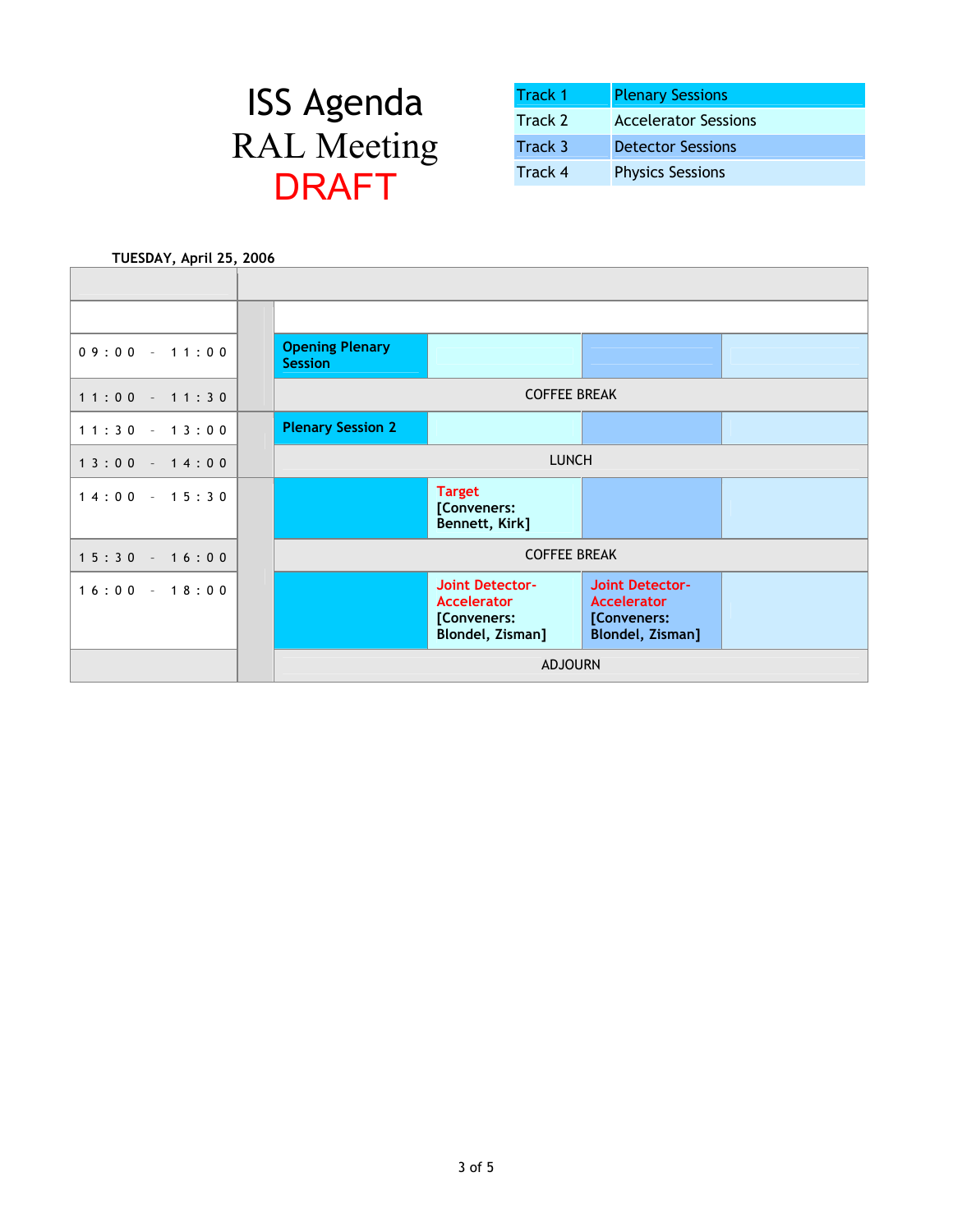| <b>Track 1</b> | <b>Plenary Sessions</b>     |
|----------------|-----------------------------|
| Track 2        | <b>Accelerator Sessions</b> |
| Track 3        | <b>Detector Sessions</b>    |
| Track 4        | <b>Physics Sessions</b>     |

| TUESDAY, April 25, 2006 |  |                                          |                                                                                 |                                                                                 |  |
|-------------------------|--|------------------------------------------|---------------------------------------------------------------------------------|---------------------------------------------------------------------------------|--|
|                         |  |                                          |                                                                                 |                                                                                 |  |
|                         |  |                                          |                                                                                 |                                                                                 |  |
|                         |  |                                          |                                                                                 |                                                                                 |  |
| $09:00 - 11:00$         |  | <b>Opening Plenary</b><br><b>Session</b> |                                                                                 |                                                                                 |  |
| $11:00 - 11:30$         |  |                                          | <b>COFFEE BREAK</b>                                                             |                                                                                 |  |
| $11:30 - 13:00$         |  | <b>Plenary Session 2</b>                 |                                                                                 |                                                                                 |  |
| $13:00 - 14:00$         |  | <b>LUNCH</b>                             |                                                                                 |                                                                                 |  |
| $14:00 - 15:30$         |  |                                          | <b>Target</b><br>[Conveners:<br>Bennett, Kirk]                                  |                                                                                 |  |
|                         |  |                                          |                                                                                 |                                                                                 |  |
| $15:30 - 16:00$         |  | <b>COFFEE BREAK</b>                      |                                                                                 |                                                                                 |  |
| $16:00 - 18:00$         |  |                                          | <b>Joint Detector-</b><br><b>Accelerator</b><br>[Conveners:<br>Blondel, Zisman] | <b>Joint Detector-</b><br><b>Accelerator</b><br>[Conveners:<br>Blondel, Zisman] |  |
|                         |  | <b>ADJOURN</b>                           |                                                                                 |                                                                                 |  |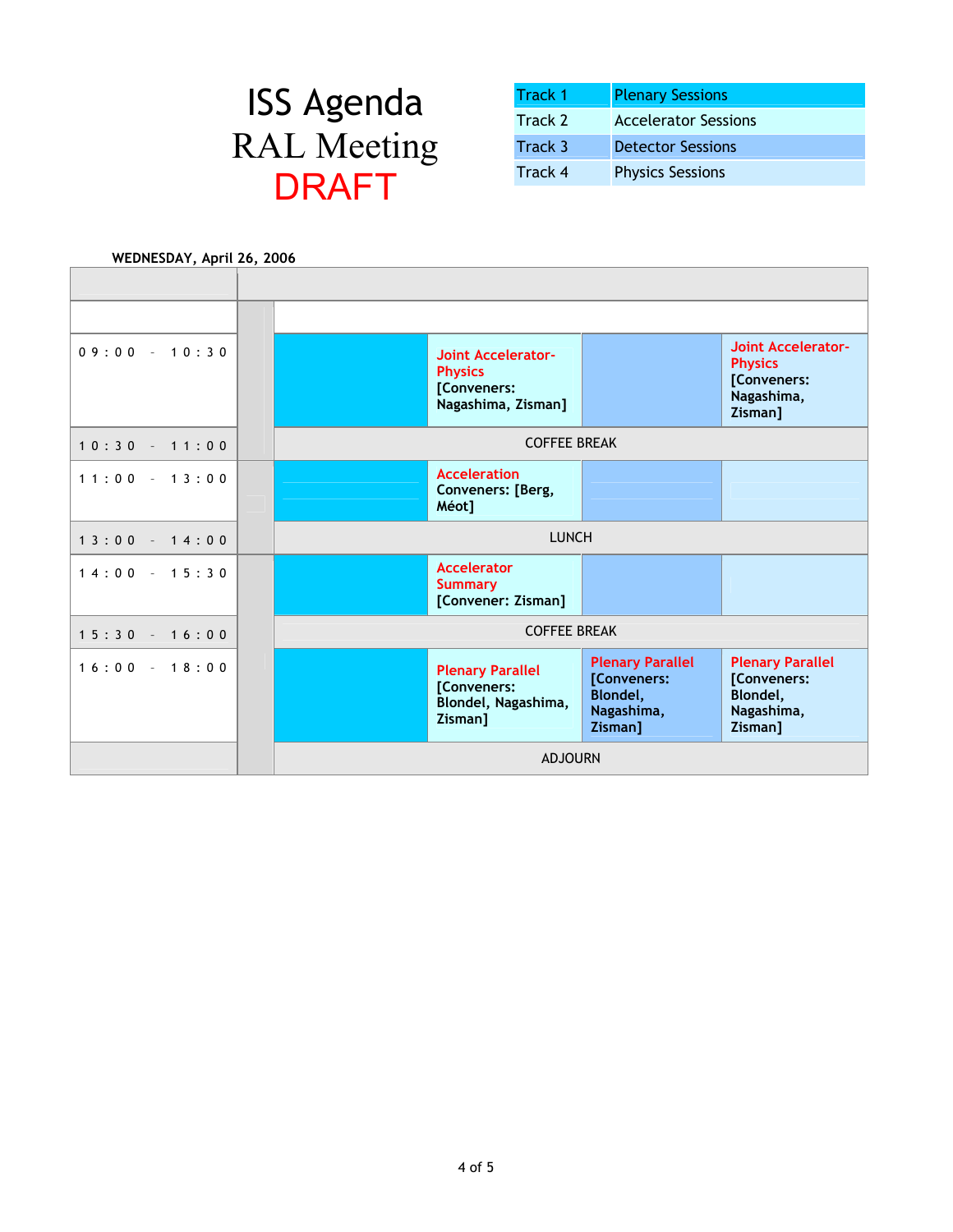| <b>Track 1</b> | <b>Plenary Sessions</b>     |
|----------------|-----------------------------|
| Track 2        | <b>Accelerator Sessions</b> |
| Track 3        | <b>Detector Sessions</b>    |
| Track 4        | <b>Physics Sessions</b>     |

| WEDNESDAY, April 26, 2006 |                                                                                  |                                                                                    |                                                                              |
|---------------------------|----------------------------------------------------------------------------------|------------------------------------------------------------------------------------|------------------------------------------------------------------------------|
|                           |                                                                                  |                                                                                    |                                                                              |
|                           |                                                                                  |                                                                                    |                                                                              |
|                           |                                                                                  |                                                                                    |                                                                              |
| $09:00 - 10:30$           | <b>Joint Accelerator-</b><br><b>Physics</b><br>[Conveners:<br>Nagashima, Zisman] |                                                                                    | Joint Accelerator-<br><b>Physics</b><br>[Conveners:<br>Nagashima,<br>Zisman] |
| $10:30 - 11:00$           | <b>COFFEE BREAK</b>                                                              |                                                                                    |                                                                              |
| $11:00 - 13:00$           | <b>Acceleration</b><br>Conveners: [Berg,                                         |                                                                                    |                                                                              |
|                           | Méot]                                                                            |                                                                                    |                                                                              |
| $13:00 - 14:00$           | <b>LUNCH</b>                                                                     |                                                                                    |                                                                              |
| $14:00 - 15:30$           | <b>Accelerator</b><br><b>Summary</b><br>[Convener: Zisman]                       |                                                                                    |                                                                              |
| $15:30 - 16:00$           | <b>COFFEE BREAK</b>                                                              |                                                                                    |                                                                              |
| $16:00 - 18:00$           | <b>Plenary Parallel</b><br>[Conveners:<br>Blondel, Nagashima,<br>Zisman]         | <b>Plenary Parallel</b><br>[Conveners:<br><b>Blondel,</b><br>Nagashima,<br>Zisman] | <b>Plenary Parallel</b><br>[Conveners:<br>Blondel,<br>Nagashima,<br>Zisman]  |
|                           | <b>ADJOURN</b>                                                                   |                                                                                    |                                                                              |